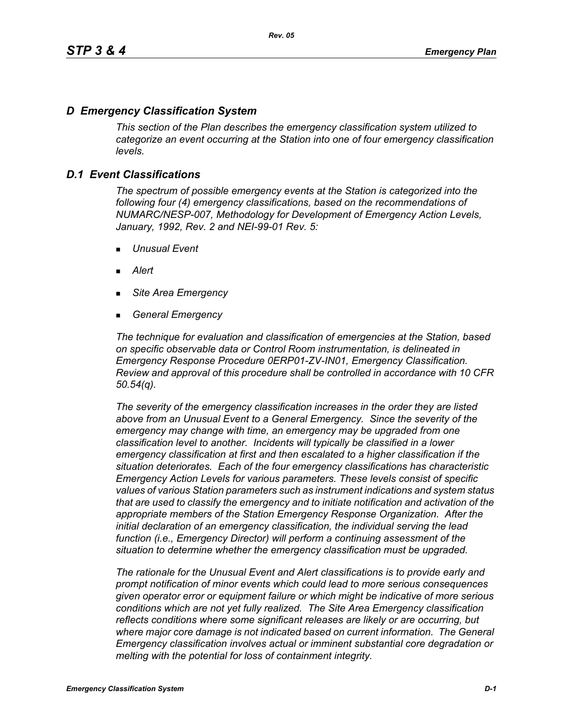# *D Emergency Classification System*

*This section of the Plan describes the emergency classification system utilized to categorize an event occurring at the Station into one of four emergency classification levels.*

# *D.1 Event Classifications*

*The spectrum of possible emergency events at the Station is categorized into the following four (4) emergency classifications, based on the recommendations of NUMARC/NESP-007, Methodology for Development of Emergency Action Levels, January, 1992, Rev. 2 and NEI-99-01 Rev. 5:*

- *Unusual Event*
- *Alert*
- *Site Area Emergency*
- *General Emergency*

*The technique for evaluation and classification of emergencies at the Station, based on specific observable data or Control Room instrumentation, is delineated in Emergency Response Procedure 0ERP01-ZV-IN01, Emergency Classification. Review and approval of this procedure shall be controlled in accordance with 10 CFR 50.54(q).*

*The severity of the emergency classification increases in the order they are listed above from an Unusual Event to a General Emergency. Since the severity of the emergency may change with time, an emergency may be upgraded from one classification level to another. Incidents will typically be classified in a lower emergency classification at first and then escalated to a higher classification if the situation deteriorates. Each of the four emergency classifications has characteristic Emergency Action Levels for various parameters. These levels consist of specific values of various Station parameters such as instrument indications and system status that are used to classify the emergency and to initiate notification and activation of the appropriate members of the Station Emergency Response Organization. After the initial declaration of an emergency classification, the individual serving the lead function (i.e., Emergency Director) will perform a continuing assessment of the situation to determine whether the emergency classification must be upgraded.*

*The rationale for the Unusual Event and Alert classifications is to provide early and prompt notification of minor events which could lead to more serious consequences given operator error or equipment failure or which might be indicative of more serious conditions which are not yet fully realized. The Site Area Emergency classification reflects conditions where some significant releases are likely or are occurring, but*  where major core damage is not indicated based on current information. The General *Emergency classification involves actual or imminent substantial core degradation or melting with the potential for loss of containment integrity.*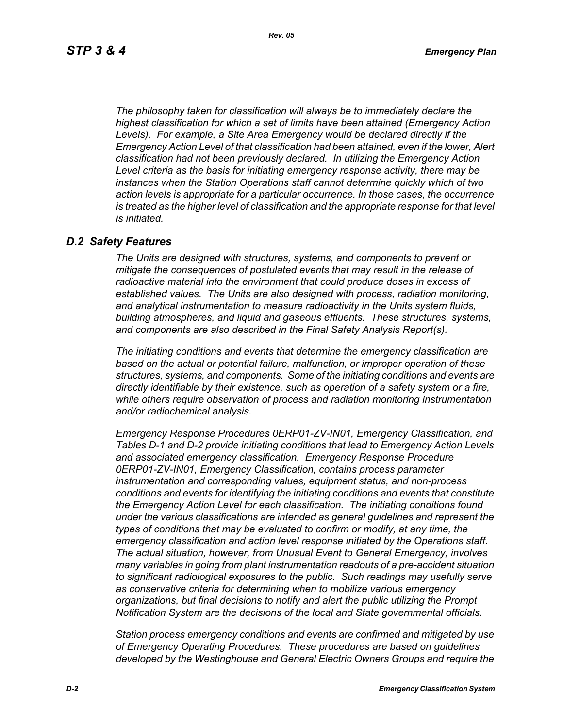*The philosophy taken for classification will always be to immediately declare the highest classification for which a set of limits have been attained (Emergency Action Levels). For example, a Site Area Emergency would be declared directly if the Emergency Action Level of that classification had been attained, even if the lower, Alert classification had not been previously declared. In utilizing the Emergency Action Level criteria as the basis for initiating emergency response activity, there may be instances when the Station Operations staff cannot determine quickly which of two action levels is appropriate for a particular occurrence. In those cases, the occurrence*  is treated as the higher level of classification and the appropriate response for that level *is initiated.*

#### *D.2 Safety Features*

*The Units are designed with structures, systems, and components to prevent or mitigate the consequences of postulated events that may result in the release of radioactive material into the environment that could produce doses in excess of established values. The Units are also designed with process, radiation monitoring, and analytical instrumentation to measure radioactivity in the Units system fluids, building atmospheres, and liquid and gaseous effluents. These structures, systems, and components are also described in the Final Safety Analysis Report(s).*

*The initiating conditions and events that determine the emergency classification are based on the actual or potential failure, malfunction, or improper operation of these structures, systems, and components. Some of the initiating conditions and events are directly identifiable by their existence, such as operation of a safety system or a fire, while others require observation of process and radiation monitoring instrumentation and/or radiochemical analysis.*

*Emergency Response Procedures 0ERP01-ZV-IN01, Emergency Classification, and Tables D-1 and D-2 provide initiating conditions that lead to Emergency Action Levels and associated emergency classification. Emergency Response Procedure 0ERP01-ZV-IN01, Emergency Classification, contains process parameter instrumentation and corresponding values, equipment status, and non-process conditions and events for identifying the initiating conditions and events that constitute the Emergency Action Level for each classification. The initiating conditions found under the various classifications are intended as general guidelines and represent the types of conditions that may be evaluated to confirm or modify, at any time, the emergency classification and action level response initiated by the Operations staff. The actual situation, however, from Unusual Event to General Emergency, involves many variables in going from plant instrumentation readouts of a pre-accident situation to significant radiological exposures to the public. Such readings may usefully serve as conservative criteria for determining when to mobilize various emergency organizations, but final decisions to notify and alert the public utilizing the Prompt Notification System are the decisions of the local and State governmental officials.*

*Station process emergency conditions and events are confirmed and mitigated by use of Emergency Operating Procedures. These procedures are based on guidelines developed by the Westinghouse and General Electric Owners Groups and require the*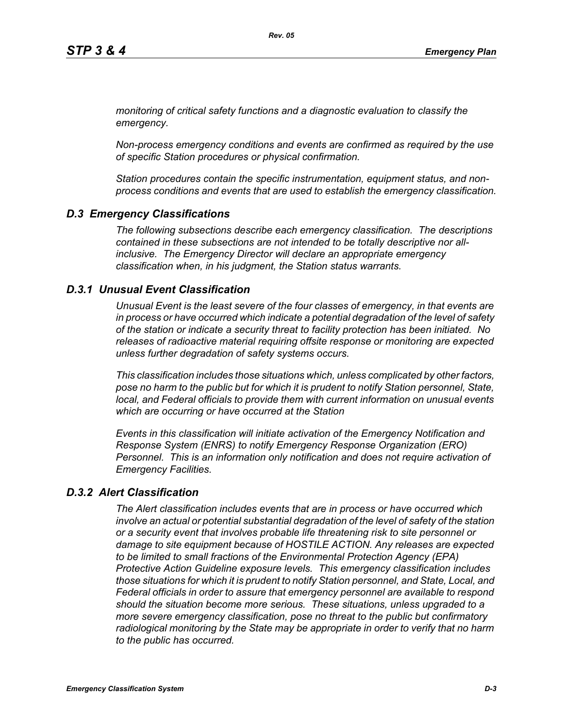*monitoring of critical safety functions and a diagnostic evaluation to classify the emergency.*

*Non-process emergency conditions and events are confirmed as required by the use of specific Station procedures or physical confirmation.*

*Station procedures contain the specific instrumentation, equipment status, and nonprocess conditions and events that are used to establish the emergency classification.*

# *D.3 Emergency Classifications*

*The following subsections describe each emergency classification. The descriptions contained in these subsections are not intended to be totally descriptive nor allinclusive. The Emergency Director will declare an appropriate emergency classification when, in his judgment, the Station status warrants.*

# *D.3.1 Unusual Event Classification*

*Unusual Event is the least severe of the four classes of emergency, in that events are in process or have occurred which indicate a potential degradation of the level of safety of the station or indicate a security threat to facility protection has been initiated. No releases of radioactive material requiring offsite response or monitoring are expected unless further degradation of safety systems occurs.*

*This classification includes those situations which, unless complicated by other factors, pose no harm to the public but for which it is prudent to notify Station personnel, State, local, and Federal officials to provide them with current information on unusual events which are occurring or have occurred at the Station*

*Events in this classification will initiate activation of the Emergency Notification and Response System (ENRS) to notify Emergency Response Organization (ERO) Personnel. This is an information only notification and does not require activation of Emergency Facilities.* 

# *D.3.2 Alert Classification*

*The Alert classification includes events that are in process or have occurred which involve an actual or potential substantial degradation of the level of safety of the station or a security event that involves probable life threatening risk to site personnel or damage to site equipment because of HOSTILE ACTION. Any releases are expected to be limited to small fractions of the Environmental Protection Agency (EPA) Protective Action Guideline exposure levels. This emergency classification includes those situations for which it is prudent to notify Station personnel, and State, Local, and Federal officials in order to assure that emergency personnel are available to respond should the situation become more serious. These situations, unless upgraded to a more severe emergency classification, pose no threat to the public but confirmatory radiological monitoring by the State may be appropriate in order to verify that no harm to the public has occurred.*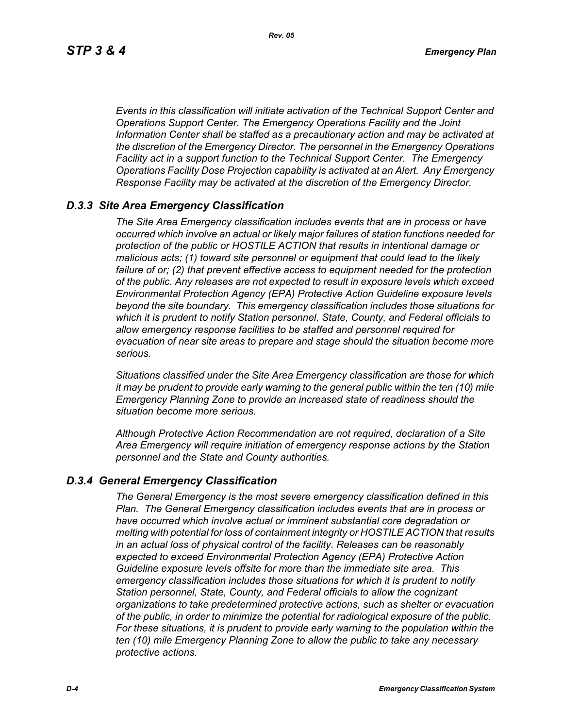*Events in this classification will initiate activation of the Technical Support Center and Operations Support Center. The Emergency Operations Facility and the Joint Information Center shall be staffed as a precautionary action and may be activated at the discretion of the Emergency Director. The personnel in the Emergency Operations Facility act in a support function to the Technical Support Center. The Emergency Operations Facility Dose Projection capability is activated at an Alert. Any Emergency Response Facility may be activated at the discretion of the Emergency Director.*

#### *D.3.3 Site Area Emergency Classification*

*The Site Area Emergency classification includes events that are in process or have occurred which involve an actual or likely major failures of station functions needed for protection of the public or HOSTILE ACTION that results in intentional damage or malicious acts; (1) toward site personnel or equipment that could lead to the likely failure of or; (2) that prevent effective access to equipment needed for the protection of the public. Any releases are not expected to result in exposure levels which exceed Environmental Protection Agency (EPA) Protective Action Guideline exposure levels beyond the site boundary. This emergency classification includes those situations for which it is prudent to notify Station personnel, State, County, and Federal officials to allow emergency response facilities to be staffed and personnel required for evacuation of near site areas to prepare and stage should the situation become more serious.* 

*Situations classified under the Site Area Emergency classification are those for which it may be prudent to provide early warning to the general public within the ten (10) mile Emergency Planning Zone to provide an increased state of readiness should the situation become more serious.*

*Although Protective Action Recommendation are not required, declaration of a Site Area Emergency will require initiation of emergency response actions by the Station personnel and the State and County authorities.*

#### *D.3.4 General Emergency Classification*

*The General Emergency is the most severe emergency classification defined in this Plan. The General Emergency classification includes events that are in process or have occurred which involve actual or imminent substantial core degradation or melting with potential for loss of containment integrity or HOSTILE ACTION that results in an actual loss of physical control of the facility. Releases can be reasonably expected to exceed Environmental Protection Agency (EPA) Protective Action Guideline exposure levels offsite for more than the immediate site area. This emergency classification includes those situations for which it is prudent to notify Station personnel, State, County, and Federal officials to allow the cognizant organizations to take predetermined protective actions, such as shelter or evacuation of the public, in order to minimize the potential for radiological exposure of the public. For these situations, it is prudent to provide early warning to the population within the ten (10) mile Emergency Planning Zone to allow the public to take any necessary protective actions.*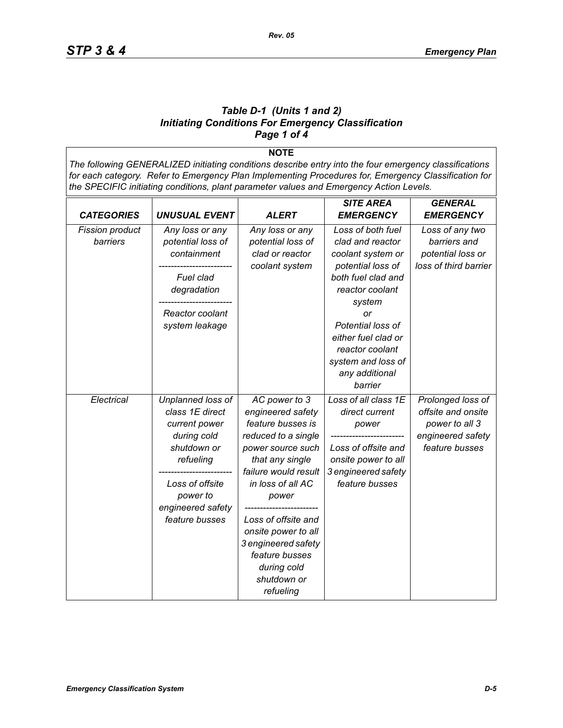#### *Table D-1 (Units 1 and 2) Initiating Conditions For Emergency Classification Page 1 of 4*

**NOTE** *The following GENERALIZED initiating conditions describe entry into the four emergency classifications for each category. Refer to Emergency Plan Implementing Procedures for, Emergency Classification for the SPECIFIC initiating conditions, plant parameter values and Emergency Action Levels.*

|                                    |                                                                                                                                                                        |                                                                                                                                                                                                                                                                                                                | <b>SITE AREA</b>                                                                                                                                                                                                                                           | <b>GENERAL</b>                                                                                   |
|------------------------------------|------------------------------------------------------------------------------------------------------------------------------------------------------------------------|----------------------------------------------------------------------------------------------------------------------------------------------------------------------------------------------------------------------------------------------------------------------------------------------------------------|------------------------------------------------------------------------------------------------------------------------------------------------------------------------------------------------------------------------------------------------------------|--------------------------------------------------------------------------------------------------|
| <b>CATEGORIES</b>                  | <b>UNUSUAL EVENT</b>                                                                                                                                                   | <b>ALERT</b>                                                                                                                                                                                                                                                                                                   | <b>EMERGENCY</b>                                                                                                                                                                                                                                           | <b>EMERGENCY</b>                                                                                 |
| <b>Fission product</b><br>barriers | Any loss or any<br>potential loss of<br>containment<br>Fuel clad<br>degradation<br>Reactor coolant<br>system leakage                                                   | Any loss or any<br>potential loss of<br>clad or reactor<br>coolant system                                                                                                                                                                                                                                      | Loss of both fuel<br>clad and reactor<br>coolant system or<br>potential loss of<br>both fuel clad and<br>reactor coolant<br>system<br>or<br>Potential loss of<br>either fuel clad or<br>reactor coolant<br>system and loss of<br>any additional<br>barrier | Loss of any two<br>barriers and<br>potential loss or<br>loss of third barrier                    |
| Electrical                         | Unplanned loss of<br>class 1E direct<br>current power<br>during cold<br>shutdown or<br>refueling<br>Loss of offsite<br>power to<br>engineered safety<br>feature busses | AC power to 3<br>engineered safety<br>feature busses is<br>reduced to a single<br>power source such<br>that any single<br>failure would result<br>in loss of all AC<br>power<br>Loss of offsite and<br>onsite power to all<br>3 engineered safety<br>feature busses<br>during cold<br>shutdown or<br>refueling | Loss of all class 1E<br>direct current<br>power<br>Loss of offsite and<br>onsite power to all<br>3 engineered safety<br>feature busses                                                                                                                     | Prolonged loss of<br>offsite and onsite<br>power to all 3<br>engineered safety<br>feature busses |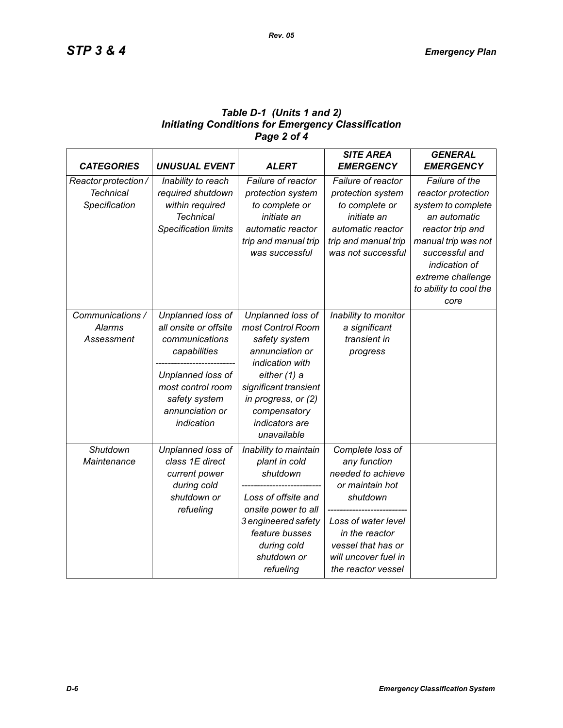## *Table D-1 (Units 1 and 2) Initiating Conditions for Emergency Classification Page 2 of 4*

| <b>CATEGORIES</b>    | <b>UNUSUAL EVENT</b>        | <b>ALERT</b>          | <b>SITE AREA</b><br><b>EMERGENCY</b> | <b>GENERAL</b><br><b>EMERGENCY</b> |
|----------------------|-----------------------------|-----------------------|--------------------------------------|------------------------------------|
| Reactor protection / | Inability to reach          | Failure of reactor    | Failure of reactor                   | Failure of the                     |
| <b>Technical</b>     | required shutdown           | protection system     | protection system                    | reactor protection                 |
| Specification        | within required             | to complete or        | to complete or                       | system to complete                 |
|                      | <b>Technical</b>            | initiate an           | initiate an                          | an automatic                       |
|                      | <b>Specification limits</b> | automatic reactor     | automatic reactor                    | reactor trip and                   |
|                      |                             | trip and manual trip  | trip and manual trip                 | manual trip was not                |
|                      |                             | was successful        | was not successful                   | successful and                     |
|                      |                             |                       |                                      | indication of                      |
|                      |                             |                       |                                      | extreme challenge                  |
|                      |                             |                       |                                      | to ability to cool the             |
|                      |                             |                       |                                      | core                               |
| Communications /     | Unplanned loss of           | Unplanned loss of     | Inability to monitor                 |                                    |
| <b>Alarms</b>        | all onsite or offsite       | most Control Room     | a significant                        |                                    |
| Assessment           | communications              | safety system         | transient in                         |                                    |
|                      | capabilities                | annunciation or       | progress                             |                                    |
|                      |                             | indication with       |                                      |                                    |
|                      | Unplanned loss of           | either (1) a          |                                      |                                    |
|                      | most control room           | significant transient |                                      |                                    |
|                      | safety system               | in progress, or (2)   |                                      |                                    |
|                      | annunciation or             | compensatory          |                                      |                                    |
|                      | indication                  | indicators are        |                                      |                                    |
|                      |                             | unavailable           |                                      |                                    |
| Shutdown             | Unplanned loss of           | Inability to maintain | Complete loss of                     |                                    |
| Maintenance          | class 1E direct             | plant in cold         | any function                         |                                    |
|                      | current power               | shutdown              | needed to achieve                    |                                    |
|                      | during cold                 |                       | or maintain hot                      |                                    |
|                      | shutdown or                 | Loss of offsite and   | shutdown                             |                                    |
|                      | refueling                   | onsite power to all   |                                      |                                    |
|                      |                             | 3 engineered safety   | Loss of water level                  |                                    |
|                      |                             | feature busses        | in the reactor                       |                                    |
|                      |                             | during cold           | vessel that has or                   |                                    |
|                      |                             | shutdown or           | will uncover fuel in                 |                                    |
|                      |                             | refueling             | the reactor vessel                   |                                    |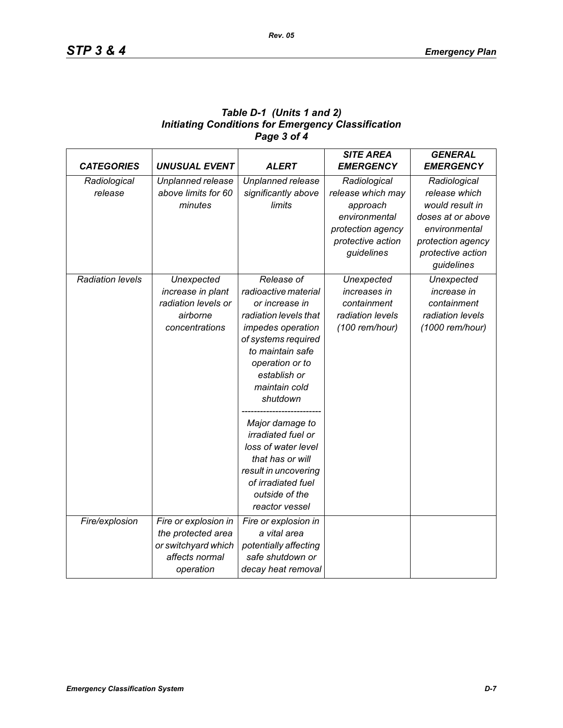| Table D-1 (Units 1 and 2)                                 |
|-----------------------------------------------------------|
| <b>Initiating Conditions for Emergency Classification</b> |
| Page 3 of 4                                               |

| <b>CATEGORIES</b>       | <b>UNUSUAL EVENT</b> | <b>ALERT</b>                    | <b>SITE AREA</b><br><b>EMERGENCY</b> | <b>GENERAL</b><br><b>EMERGENCY</b> |
|-------------------------|----------------------|---------------------------------|--------------------------------------|------------------------------------|
| Radiological            | Unplanned release    | Unplanned release               | Radiological                         | Radiological                       |
| release                 | above limits for 60  | significantly above             | release which may                    | release which                      |
|                         | minutes              | limits                          | approach                             | would result in                    |
|                         |                      |                                 | environmental                        | doses at or above                  |
|                         |                      |                                 | protection agency                    | environmental                      |
|                         |                      |                                 | protective action                    | protection agency                  |
|                         |                      |                                 | guidelines                           | protective action                  |
|                         |                      |                                 |                                      | guidelines                         |
| <b>Radiation levels</b> |                      | Release of                      |                                      |                                    |
|                         | Unexpected           |                                 | Unexpected                           | Unexpected                         |
|                         | increase in plant    | radioactive material            | increases in                         | increase in                        |
|                         | radiation levels or  | or increase in                  | containment                          | containment                        |
|                         | airborne             | radiation levels that           | radiation levels                     | radiation levels                   |
|                         | concentrations       | impedes operation               | (100 rem/hour)                       | (1000 rem/hour)                    |
|                         |                      | of systems required             |                                      |                                    |
|                         |                      | to maintain safe                |                                      |                                    |
|                         |                      | operation or to<br>establish or |                                      |                                    |
|                         |                      | maintain cold                   |                                      |                                    |
|                         |                      | shutdown                        |                                      |                                    |
|                         |                      |                                 |                                      |                                    |
|                         |                      | Major damage to                 |                                      |                                    |
|                         |                      | irradiated fuel or              |                                      |                                    |
|                         |                      | loss of water level             |                                      |                                    |
|                         |                      | that has or will                |                                      |                                    |
|                         |                      | result in uncovering            |                                      |                                    |
|                         |                      | of irradiated fuel              |                                      |                                    |
|                         |                      | outside of the                  |                                      |                                    |
|                         |                      | reactor vessel                  |                                      |                                    |
| Fire/explosion          | Fire or explosion in | Fire or explosion in            |                                      |                                    |
|                         | the protected area   | a vital area                    |                                      |                                    |
|                         | or switchyard which  | potentially affecting           |                                      |                                    |
|                         | affects normal       | safe shutdown or                |                                      |                                    |
|                         | operation            | decay heat removal              |                                      |                                    |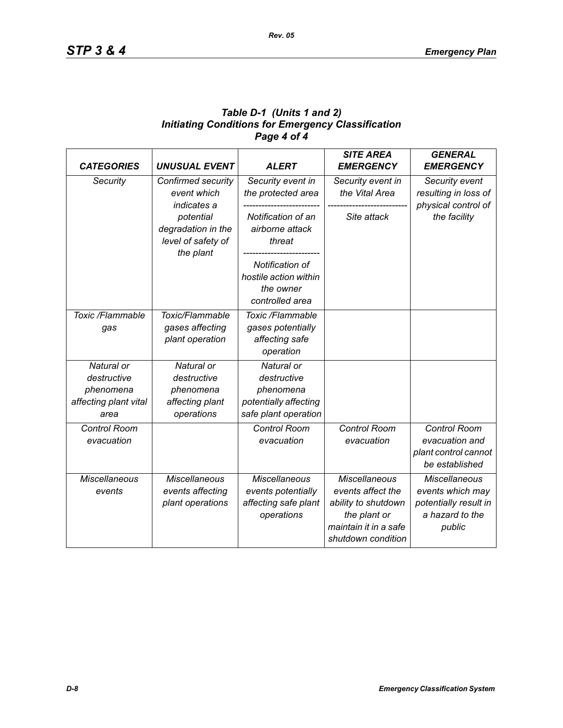## *Table D-1 (Units 1 and 2) Initiating Conditions for Emergency Classification Page 4 of 4*

| <b>CATEGORIES</b>                                                       | <b>UNUSUAL EVENT</b>                                                    | <b>ALERT</b>                                                                            | <b>SITE AREA</b><br><b>EMERGENCY</b>                                                                                            | <b>GENERAL</b><br><b>EMERGENCY</b>                                                             |
|-------------------------------------------------------------------------|-------------------------------------------------------------------------|-----------------------------------------------------------------------------------------|---------------------------------------------------------------------------------------------------------------------------------|------------------------------------------------------------------------------------------------|
| Security                                                                | Confirmed security<br>event which<br>indicates a                        | Security event in<br>the protected area                                                 | Security event in<br>the Vital Area                                                                                             | Security event<br>resulting in loss of<br>physical control of                                  |
|                                                                         | potential<br>degradation in the<br>level of safety of<br>the plant      | Notification of an<br>airborne attack<br>threat                                         | Site attack                                                                                                                     | the facility                                                                                   |
|                                                                         |                                                                         | Notification of<br>hostile action within<br>the owner<br>controlled area                |                                                                                                                                 |                                                                                                |
| Toxic /Flammable<br>gas                                                 | Toxic/Flammable<br>gases affecting<br>plant operation                   | Toxic /Flammable<br>gases potentially<br>affecting safe<br>operation                    |                                                                                                                                 |                                                                                                |
| Natural or<br>destructive<br>phenomena<br>affecting plant vital<br>area | Natural or<br>destructive<br>phenomena<br>affecting plant<br>operations | Natural or<br>destructive<br>phenomena<br>potentially affecting<br>safe plant operation |                                                                                                                                 |                                                                                                |
| <b>Control Room</b><br>evacuation                                       |                                                                         | <b>Control Room</b><br>evacuation                                                       | Control Room<br>evacuation                                                                                                      | Control Room<br>evacuation and<br>plant control cannot<br>be established                       |
| <b>Miscellaneous</b><br>events                                          | <b>Miscellaneous</b><br>events affecting<br>plant operations            | <b>Miscellaneous</b><br>events potentially<br>affecting safe plant<br>operations        | <b>Miscellaneous</b><br>events affect the<br>ability to shutdown<br>the plant or<br>maintain it in a safe<br>shutdown condition | <b>Miscellaneous</b><br>events which may<br>potentially result in<br>a hazard to the<br>public |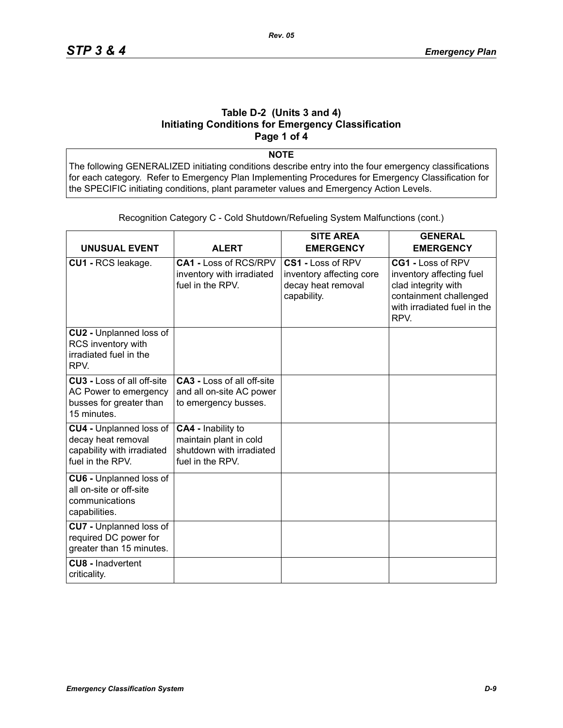#### **Table D-2 (Units 3 and 4) Initiating Conditions for Emergency Classification Page 1 of 4**

**NOTE**

The following GENERALIZED initiating conditions describe entry into the four emergency classifications for each category. Refer to Emergency Plan Implementing Procedures for Emergency Classification for the SPECIFIC initiating conditions, plant parameter values and Emergency Action Levels.

| <b>UNUSUAL EVENT</b>                                                                                   | <b>ALERT</b>                                                                                 | <b>SITE AREA</b><br><b>EMERGENCY</b>                                               | <b>GENERAL</b><br><b>EMERGENCY</b>                                                                                                    |
|--------------------------------------------------------------------------------------------------------|----------------------------------------------------------------------------------------------|------------------------------------------------------------------------------------|---------------------------------------------------------------------------------------------------------------------------------------|
| CU1 - RCS leakage.                                                                                     | CA1 - Loss of RCS/RPV<br>inventory with irradiated<br>fuel in the RPV.                       | CS1 - Loss of RPV<br>inventory affecting core<br>decay heat removal<br>capability. | CG1 - Loss of RPV<br>inventory affecting fuel<br>clad integrity with<br>containment challenged<br>with irradiated fuel in the<br>RPV. |
| CU2 - Unplanned loss of<br>RCS inventory with<br>irradiated fuel in the<br>RPV.                        |                                                                                              |                                                                                    |                                                                                                                                       |
| <b>CU3 - Loss of all off-site</b><br>AC Power to emergency<br>busses for greater than<br>15 minutes.   | <b>CA3 - Loss of all off-site</b><br>and all on-site AC power<br>to emergency busses.        |                                                                                    |                                                                                                                                       |
| <b>CU4 - Unplanned loss of</b><br>decay heat removal<br>capability with irradiated<br>fuel in the RPV. | CA4 - Inability to<br>maintain plant in cold<br>shutdown with irradiated<br>fuel in the RPV. |                                                                                    |                                                                                                                                       |
| <b>CU6 - Unplanned loss of</b><br>all on-site or off-site<br>communications<br>capabilities.           |                                                                                              |                                                                                    |                                                                                                                                       |
| <b>CU7</b> - Unplanned loss of<br>required DC power for<br>greater than 15 minutes.                    |                                                                                              |                                                                                    |                                                                                                                                       |
| <b>CU8 - Inadvertent</b><br>criticality.                                                               |                                                                                              |                                                                                    |                                                                                                                                       |

Recognition Category C - Cold Shutdown/Refueling System Malfunctions (cont.)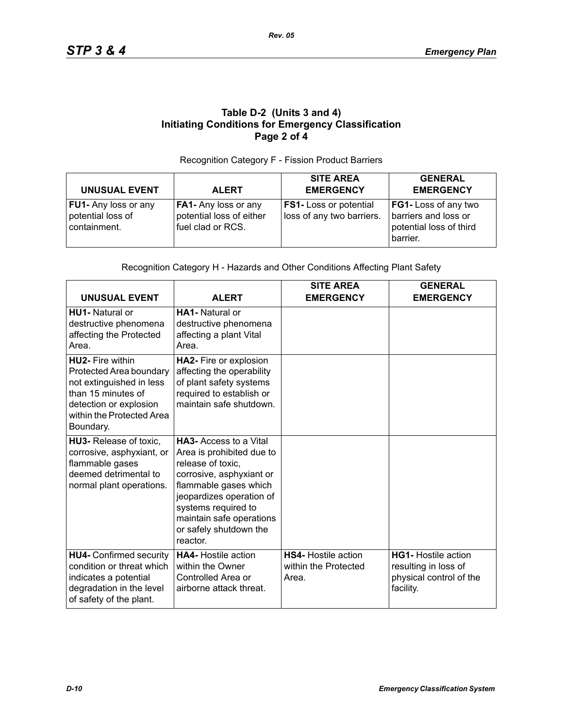#### **Table D-2 (Units 3 and 4) Initiating Conditions for Emergency Classification Page 2 of 4**

#### Recognition Category F - Fission Product Barriers

| <b>UNUSUAL EVENT</b>                                             | <b>ALERT</b>                                                          | <b>SITE AREA</b><br><b>EMERGENCY</b>                       | <b>GENERAL</b><br><b>EMERGENCY</b>                                                  |
|------------------------------------------------------------------|-----------------------------------------------------------------------|------------------------------------------------------------|-------------------------------------------------------------------------------------|
| <b>FU1-</b> Any loss or any<br>potential loss of<br>containment. | FA1- Any loss or any<br>potential loss of either<br>fuel clad or RCS. | <b>FS1-</b> Loss or potential<br>loss of any two barriers. | FG1- Loss of any two<br>barriers and loss or<br>potential loss of third<br>barrier. |

#### Recognition Category H - Hazards and Other Conditions Affecting Plant Safety

| <b>UNUSUAL EVENT</b>                                                                                                                                                     | <b>ALERT</b>                                                                                                                                                                                                                                              | <b>SITE AREA</b><br><b>EMERGENCY</b>                        | <b>GENERAL</b><br><b>EMERGENCY</b>                                                         |
|--------------------------------------------------------------------------------------------------------------------------------------------------------------------------|-----------------------------------------------------------------------------------------------------------------------------------------------------------------------------------------------------------------------------------------------------------|-------------------------------------------------------------|--------------------------------------------------------------------------------------------|
| HU1- Natural or<br>destructive phenomena<br>affecting the Protected<br>Area.                                                                                             | <b>HA1-</b> Natural or<br>destructive phenomena<br>affecting a plant Vital<br>Area.                                                                                                                                                                       |                                                             |                                                                                            |
| <b>HU2-</b> Fire within<br>Protected Area boundary<br>not extinguished in less<br>than 15 minutes of<br>detection or explosion<br>within the Protected Area<br>Boundary. | HA2- Fire or explosion<br>affecting the operability<br>of plant safety systems<br>required to establish or<br>maintain safe shutdown.                                                                                                                     |                                                             |                                                                                            |
| HU3- Release of toxic,<br>corrosive, asphyxiant, or<br>flammable gases<br>deemed detrimental to<br>normal plant operations.                                              | <b>HA3-</b> Access to a Vital<br>Area is prohibited due to<br>release of toxic,<br>corrosive, asphyxiant or<br>flammable gases which<br>jeopardizes operation of<br>systems required to<br>maintain safe operations<br>or safely shutdown the<br>reactor. |                                                             |                                                                                            |
| <b>HU4- Confirmed security</b><br>condition or threat which<br>indicates a potential<br>degradation in the level<br>of safety of the plant.                              | <b>HA4-</b> Hostile action<br>within the Owner<br>Controlled Area or<br>airborne attack threat.                                                                                                                                                           | <b>HS4-</b> Hostile action<br>within the Protected<br>Area. | <b>HG1-</b> Hostile action<br>resulting in loss of<br>physical control of the<br>facility. |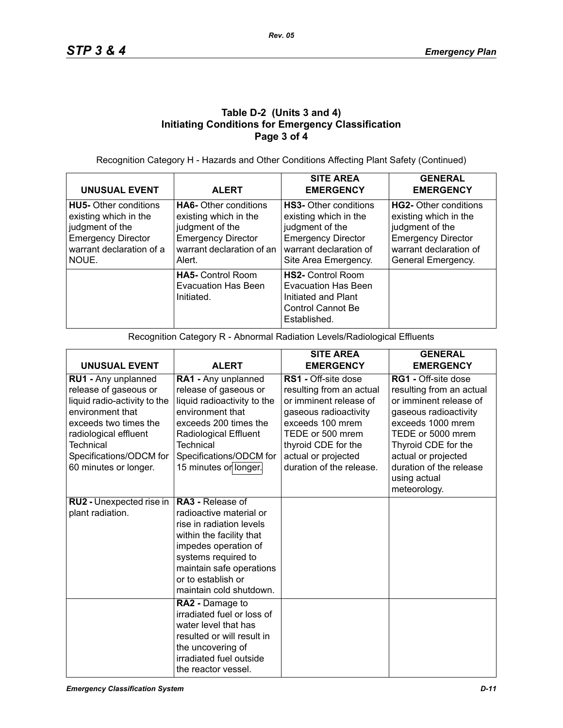## **Table D-2 (Units 3 and 4) Initiating Conditions for Emergency Classification Page 3 of 4**

Recognition Category H - Hazards and Other Conditions Affecting Plant Safety (Continued)

| <b>UNUSUAL EVENT</b>                                                                                                                       | <b>ALERT</b>                                                                                                                                 | <b>SITE AREA</b><br><b>EMERGENCY</b>                                                                                                                    | <b>GENERAL</b><br><b>EMERGENCY</b>                                                                                                             |
|--------------------------------------------------------------------------------------------------------------------------------------------|----------------------------------------------------------------------------------------------------------------------------------------------|---------------------------------------------------------------------------------------------------------------------------------------------------------|------------------------------------------------------------------------------------------------------------------------------------------------|
| <b>HU5-</b> Other conditions<br>existing which in the<br>judgment of the<br><b>Emergency Director</b><br>warrant declaration of a<br>NOUE. | <b>HA6-</b> Other conditions<br>existing which in the<br>judgment of the<br><b>Emergency Director</b><br>warrant declaration of an<br>Alert. | <b>HS3-</b> Other conditions<br>existing which in the<br>judgment of the<br><b>Emergency Director</b><br>warrant declaration of<br>Site Area Emergency. | HG2- Other conditions<br>existing which in the<br>judgment of the<br><b>Emergency Director</b><br>warrant declaration of<br>General Emergency. |
|                                                                                                                                            | <b>HA5-</b> Control Room<br><b>Evacuation Has Been</b><br>Initiated.                                                                         | <b>HS2-</b> Control Room<br>Evacuation Has Been<br>Initiated and Plant<br>Control Cannot Be<br>Established.                                             |                                                                                                                                                |

Recognition Category R - Abnormal Radiation Levels/Radiological Effluents

|                                                                                                                                                                                                                     |                                                                                                                                                                                                                                        | <b>SITE AREA</b>                                                                                                                                                                                                     | <b>GENERAL</b>                                                                                                                                                                                                                        |
|---------------------------------------------------------------------------------------------------------------------------------------------------------------------------------------------------------------------|----------------------------------------------------------------------------------------------------------------------------------------------------------------------------------------------------------------------------------------|----------------------------------------------------------------------------------------------------------------------------------------------------------------------------------------------------------------------|---------------------------------------------------------------------------------------------------------------------------------------------------------------------------------------------------------------------------------------|
| <b>UNUSUAL EVENT</b>                                                                                                                                                                                                | <b>ALERT</b>                                                                                                                                                                                                                           | <b>EMERGENCY</b>                                                                                                                                                                                                     | <b>EMERGENCY</b>                                                                                                                                                                                                                      |
| RU1 - Any unplanned<br>release of gaseous or<br>liquid radio-activity to the<br>environment that<br>exceeds two times the<br>radiological effluent<br>Technical<br>Specifications/ODCM for<br>60 minutes or longer. | RA1 - Any unplanned<br>release of gaseous or<br>liquid radioactivity to the<br>environment that<br>exceeds 200 times the<br>Radiological Effluent<br>Technical<br>Specifications/ODCM for<br>15 minutes or longer.                     | RS1 - Off-site dose<br>resulting from an actual<br>or imminent release of<br>gaseous radioactivity<br>exceeds 100 mrem<br>TEDE or 500 mrem<br>thyroid CDE for the<br>actual or projected<br>duration of the release. | RG1 - Off-site dose<br>resulting from an actual<br>or imminent release of<br>gaseous radioactivity<br>exceeds 1000 mrem<br>TEDE or 5000 mrem<br>Thyroid CDE for the<br>actual or projected<br>duration of the release<br>using actual |
|                                                                                                                                                                                                                     |                                                                                                                                                                                                                                        |                                                                                                                                                                                                                      | meteorology.                                                                                                                                                                                                                          |
| RU2 - Unexpected rise in<br>plant radiation.                                                                                                                                                                        | <b>RA3 - Release of</b><br>radioactive material or<br>rise in radiation levels<br>within the facility that<br>impedes operation of<br>systems required to<br>maintain safe operations<br>or to establish or<br>maintain cold shutdown. |                                                                                                                                                                                                                      |                                                                                                                                                                                                                                       |
|                                                                                                                                                                                                                     | RA2 - Damage to<br>irradiated fuel or loss of<br>water level that has<br>resulted or will result in<br>the uncovering of<br>irradiated fuel outside<br>the reactor vessel.                                                             |                                                                                                                                                                                                                      |                                                                                                                                                                                                                                       |